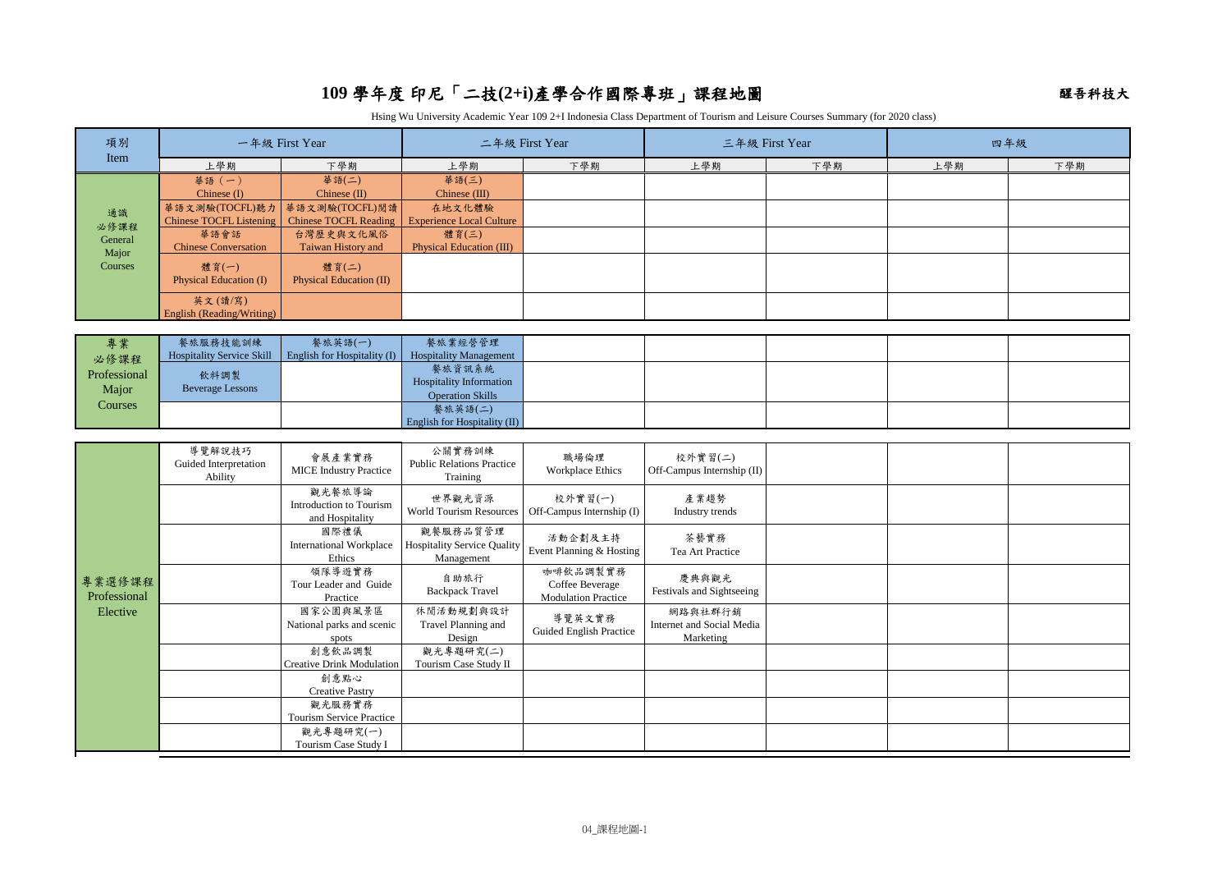## 109 學年度 印尼「二技(2+i)產學合作國際專班」課程地圖 **109 學年度 印尼「二技(2+i)產學合作國際專班」課**程地圖

Hsing Wu University Academic Year 109 2+I Indonesia Class Department of Tourism and Leisure Courses Summary (for 2020 class)

| 項別                       | 一年級 First Year                         |                                          | 二年級 First Year                                            |                                                                | 三年級 First Year                       |     | 四年級 |     |
|--------------------------|----------------------------------------|------------------------------------------|-----------------------------------------------------------|----------------------------------------------------------------|--------------------------------------|-----|-----|-----|
| Item                     | 上學期                                    | 下學期                                      | 上學期                                                       | 下學期                                                            | 上學期                                  | 下學期 | 上學期 | 下學期 |
| 通識                       | 華語 (一)                                 | 華語(二)                                    | 華語(三)                                                     |                                                                |                                      |     |     |     |
|                          | Chinese $(I)$                          | Chinese (II)                             | Chinese (III)                                             |                                                                |                                      |     |     |     |
|                          | 華語文測驗(TOCFL)聽力                         | 華語文測驗(TOCFL)閱讀                           | 在地文化體驗                                                    |                                                                |                                      |     |     |     |
| 必修課程                     | <b>Chinese TOCFL Listening</b><br>華語會話 | <b>Chinese TOCFL Reading</b>             | <b>Experience Local Culture</b><br>體育(三)                  |                                                                |                                      |     |     |     |
| General                  | <b>Chinese Conversation</b>            | 台灣歷史與文化風俗<br>Taiwan History and          | <b>Physical Education (III)</b>                           |                                                                |                                      |     |     |     |
| Major<br>Courses         |                                        |                                          |                                                           |                                                                |                                      |     |     |     |
|                          | 體育(一)<br>Physical Education (I)        | 體育(二)<br>Physical Education (II)         |                                                           |                                                                |                                      |     |     |     |
|                          |                                        |                                          |                                                           |                                                                |                                      |     |     |     |
|                          | 英文(讀/寫)<br>English (Reading/Writing)   |                                          |                                                           |                                                                |                                      |     |     |     |
|                          |                                        |                                          |                                                           |                                                                |                                      |     |     |     |
| 專業                       | 餐旅服務技能訓練                               | 餐旅英語(一)                                  | 餐旅業經營管理                                                   |                                                                |                                      |     |     |     |
| 必修課程                     | <b>Hospitality Service Skill</b>       | English for Hospitality (I)              | <b>Hospitality Management</b>                             |                                                                |                                      |     |     |     |
| Professional             | 飲料調製                                   |                                          | 餐旅資訊系統                                                    |                                                                |                                      |     |     |     |
| Major                    | <b>Beverage Lessons</b>                |                                          | <b>Hospitality Information</b><br><b>Operation Skills</b> |                                                                |                                      |     |     |     |
| Courses                  |                                        |                                          | 餐旅英語(二)                                                   |                                                                |                                      |     |     |     |
|                          |                                        |                                          | English for Hospitality (II)                              |                                                                |                                      |     |     |     |
|                          |                                        |                                          |                                                           |                                                                |                                      |     |     |     |
|                          | 導覽解說技巧                                 | 會展產業實務                                   | 公關實務訓練                                                    | 職場倫理                                                           | 校外實習(二)                              |     |     |     |
|                          | Guided Interpretation<br>Ability       | <b>MICE</b> Industry Practice            | <b>Public Relations Practice</b><br>Training              | <b>Workplace Ethics</b>                                        | Off-Campus Internship (II)           |     |     |     |
|                          |                                        | 觀光餐旅導論                                   |                                                           |                                                                |                                      |     |     |     |
|                          |                                        | Introduction to Tourism                  | 世界觀光資源                                                    | 校外實習(一)<br>World Tourism Resources   Off-Campus Internship (I) | 產業趨勢<br>Industry trends              |     |     |     |
|                          |                                        | and Hospitality                          |                                                           |                                                                |                                      |     |     |     |
|                          |                                        | 國際禮儀                                     | 觀餐服務品質管理                                                  | 活動企劃及主持                                                        | 茶藝實務                                 |     |     |     |
|                          |                                        | <b>International Workplace</b><br>Ethics | <b>Hospitality Service Quality</b><br>Management          | Event Planning & Hosting                                       | Tea Art Practice                     |     |     |     |
|                          |                                        | 領隊導遊實務                                   |                                                           | 咖啡飲品調製實務                                                       |                                      |     |     |     |
| 專業選修課程                   |                                        | Tour Leader and Guide                    | 自助旅行<br><b>Backpack Travel</b>                            | Coffee Beverage                                                | 慶典與觀光<br>Festivals and Sightseeing   |     |     |     |
| Professional<br>Elective |                                        | Practice                                 |                                                           | <b>Modulation Practice</b>                                     |                                      |     |     |     |
|                          |                                        | 國家公園與風景區<br>National parks and scenic    | 休閒活動規劃與設計<br>Travel Planning and                          | 導覽英文實務                                                         | 網路與社群行銷<br>Internet and Social Media |     |     |     |
|                          |                                        | spots                                    | Design                                                    | Guided English Practice                                        | Marketing                            |     |     |     |
|                          |                                        | 創意飲品調製                                   | 觀光專題研究(二)                                                 |                                                                |                                      |     |     |     |
|                          |                                        | <b>Creative Drink Modulation</b>         | Tourism Case Study II                                     |                                                                |                                      |     |     |     |
|                          |                                        | 創意點心                                     |                                                           |                                                                |                                      |     |     |     |
|                          |                                        | <b>Creative Pastry</b>                   |                                                           |                                                                |                                      |     |     |     |
|                          |                                        | 觀光服務實務<br>Tourism Service Practice       |                                                           |                                                                |                                      |     |     |     |
|                          |                                        | 觀光專題研究(一)                                |                                                           |                                                                |                                      |     |     |     |
|                          |                                        | Tourism Case Study I                     |                                                           |                                                                |                                      |     |     |     |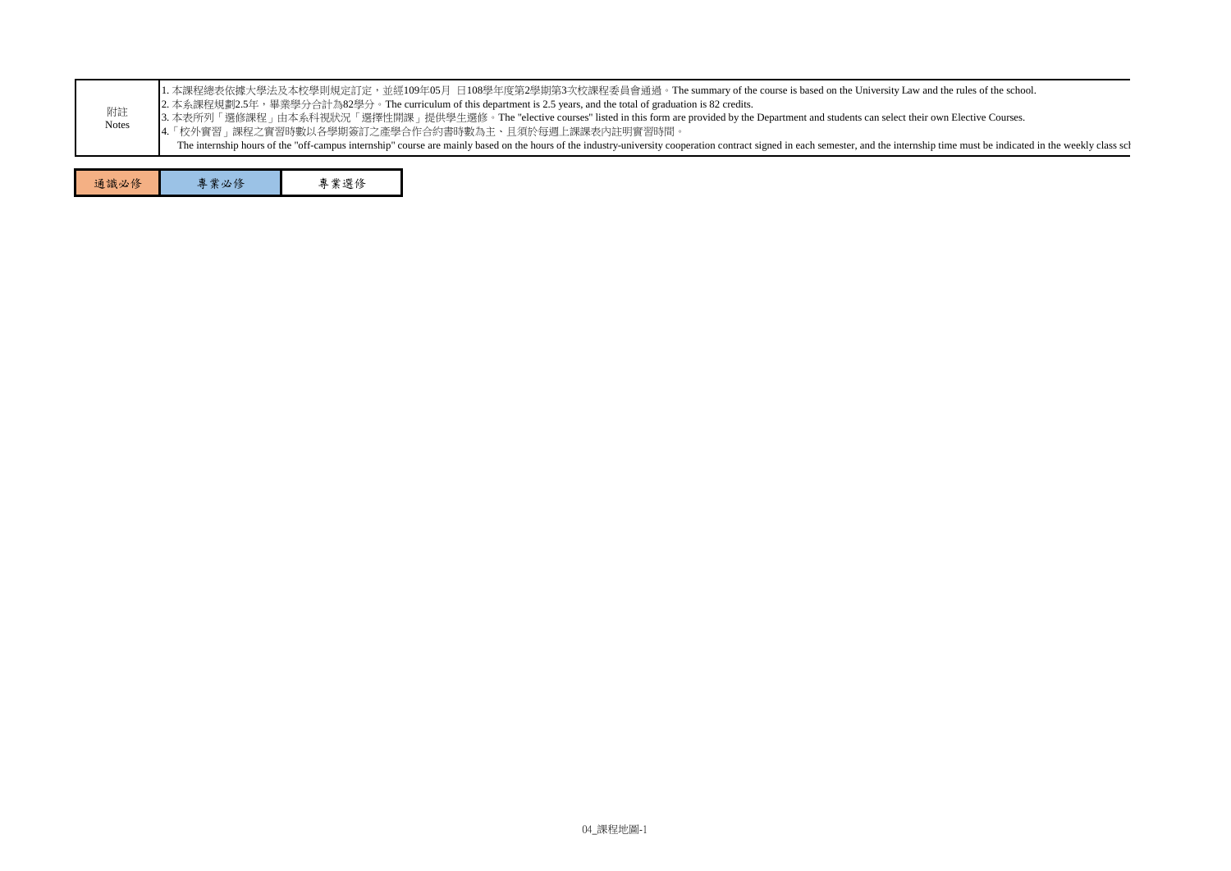| 附註<br>Notes | 1. 本課程總表依據大學法及本校學則規定訂定,並經109年05月 日108學年度第2學期第3次校課程委員會通過。The summary of the course is based on the University Law and the rules of the school.<br>2. 本系課程規劃2.5年,畢業學分合計為82學分。The curriculum of this department is 2.5 years, and the total of graduation is 82 credits.<br>3. 本表所列「選修課程」由本系科視狀況「選擇性開課」提供學生選修。The "elective courses" listed in this form are provided by the Department and students can select their own Elective Courses.<br> 4.「校外實習」課程之實習時數以各學期簽訂之產學合作合約書時數為主、且須於每週上課課表內註明實習時間。<br>The internship hours of the "off-campus internship" course are mainly based on the hours of the industry-university cooperation contract signed in each semester, and the internship time must be indicated in the weekly clas |      |  |  |  |  |
|-------------|------------------------------------------------------------------------------------------------------------------------------------------------------------------------------------------------------------------------------------------------------------------------------------------------------------------------------------------------------------------------------------------------------------------------------------------------------------------------------------------------------------------------------------------------------------------------------------------------------------------------------------------------------------------------------------------------------------------------------------|------|--|--|--|--|
| 通識必修        | 專業必修                                                                                                                                                                                                                                                                                                                                                                                                                                                                                                                                                                                                                                                                                                                               | 專業選修 |  |  |  |  |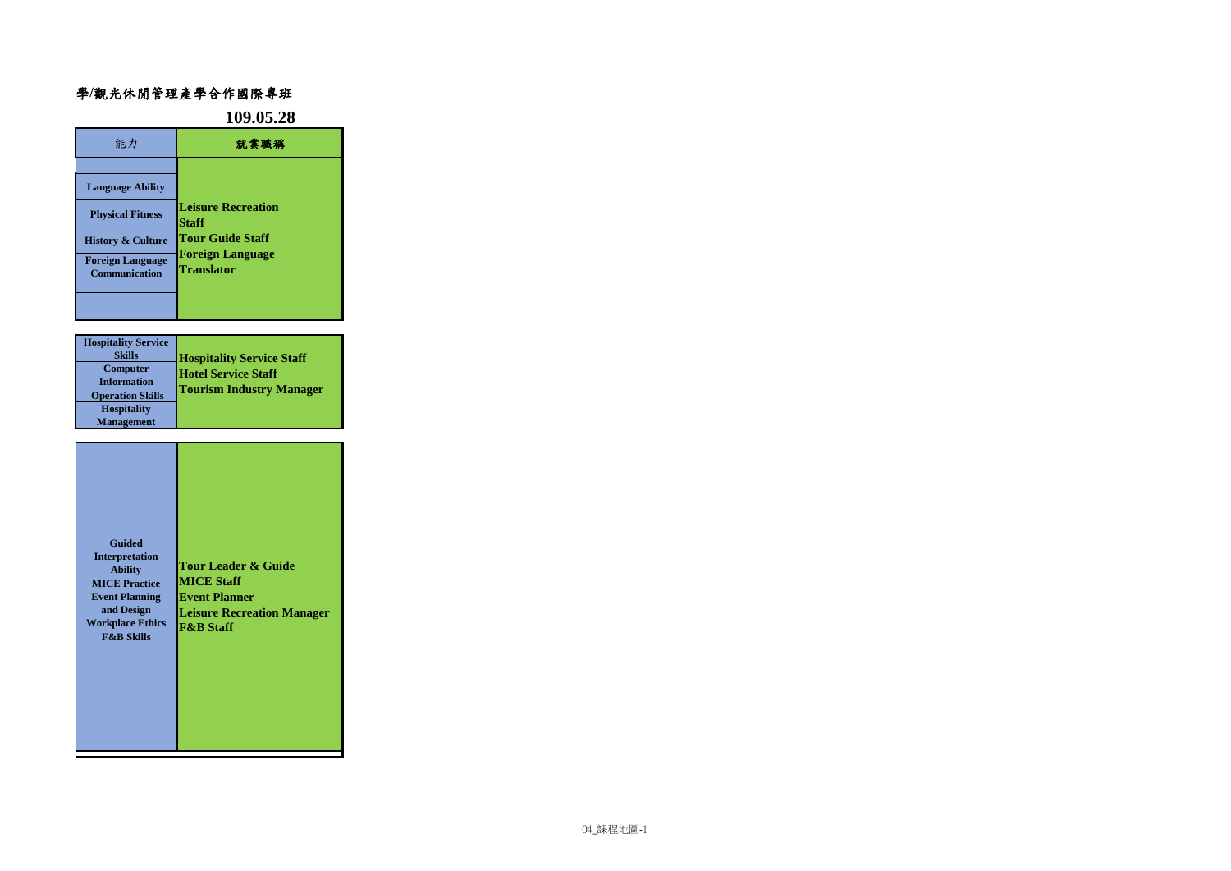## 醒吾科技大學**/**觀光休閒管理產學合作國際專班

|                                                                                                                                                     | 109.05.28                                                                                                     |  |  |
|-----------------------------------------------------------------------------------------------------------------------------------------------------|---------------------------------------------------------------------------------------------------------------|--|--|
| 能力                                                                                                                                                  | 就業職稱                                                                                                          |  |  |
| <b>Language Ability</b><br><b>Physical Fitness</b><br><b>History &amp; Culture</b><br><b>Foreign Language</b><br><b>Communication</b>               | <b>Leisure Recreation</b><br>Staff<br><b>Tour Guide Staff</b><br><b>Foreign Language</b><br><b>Translator</b> |  |  |
|                                                                                                                                                     |                                                                                                               |  |  |
| <b>Hospitality Service</b><br><b>Skills</b><br>Computer<br><b>Information</b><br><b>Operation Skills</b><br><b>Hospitality</b><br><b>Management</b> | <b>Hospitality Service Staff</b><br><b>Hotel Service Staff</b><br><b>Tourism Industry Manager</b>             |  |  |

| <b>Guided</b><br><b>Interpretation</b><br><b>Ability</b><br><b>MICE Practice</b><br><b>Event Planning</b><br>and Design<br><b>Workplace Ethics</b><br><b>F&amp;B Skills</b> | Tour Leader & Guide<br><b>MICE Staff</b><br><b>Event Planner</b><br><b>Leisure Recreation Manager</b><br><b>F&amp;B Staff</b> |
|-----------------------------------------------------------------------------------------------------------------------------------------------------------------------------|-------------------------------------------------------------------------------------------------------------------------------|
|-----------------------------------------------------------------------------------------------------------------------------------------------------------------------------|-------------------------------------------------------------------------------------------------------------------------------|